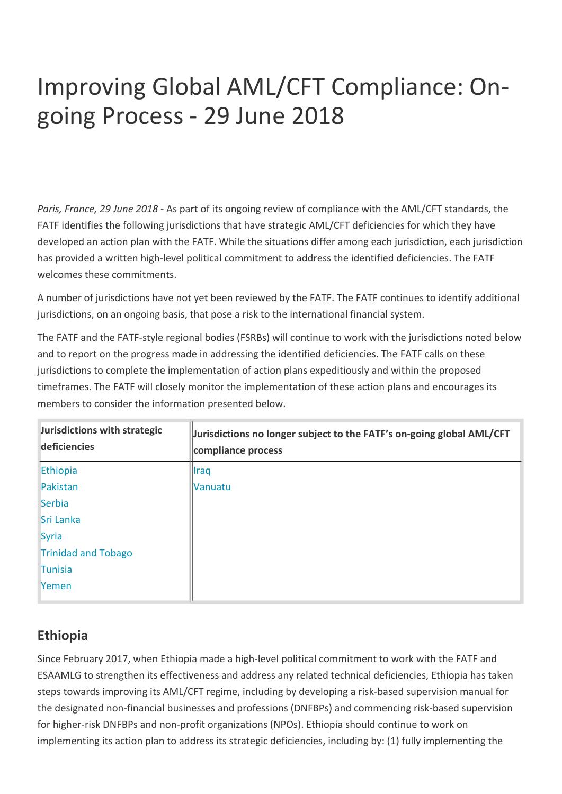# Improving Global AML/CFT Compliance: Ongoing Process - 29 June 2018

*Paris, France, 29 June 2018* - As part of its ongoing review of compliance with the AML/CFT standards, the FATF identifies the following jurisdictions that have strategic AML/CFT deficiencies for which they have developed an action plan with the FATF. While the situations differ among each jurisdiction, each jurisdiction has provided a written high-level political commitment to address the identified deficiencies. The FATF welcomes these commitments.

A number of jurisdictions have not yet been reviewed by the FATF. The FATF continues to identify additional jurisdictions, on an ongoing basis, that pose a risk to the international financial system.

The FATF and the FATF-style regional bodies (FSRBs) will continue to work with the jurisdictions noted below and to report on the progress made in addressing the identified deficiencies. The FATF calls on these jurisdictions to complete the implementation of action plans expeditiously and within the proposed timeframes. The FATF will closely monitor the implementation of these action plans and encourages its members to consider the information presented below.

| Jurisdictions with strategic<br>deficiencies | Jurisdictions no longer subject to the FATF's on-going global AML/CFT<br>compliance process |
|----------------------------------------------|---------------------------------------------------------------------------------------------|
| Ethiopia                                     | Iraq                                                                                        |
| Pakistan                                     | <b>Vanuatu</b>                                                                              |
| <b>Serbia</b>                                |                                                                                             |
| Sri Lanka                                    |                                                                                             |
| Syria                                        |                                                                                             |
| <b>Trinidad and Tobago</b>                   |                                                                                             |
| <b>Tunisia</b>                               |                                                                                             |
| Yemen                                        |                                                                                             |

## **Ethiopia**

Since February 2017, when Ethiopia made a high-level political commitment to work with the FATF and ESAAMLG to strengthen its effectiveness and address any related technical deficiencies, Ethiopia has taken steps towards improving its AML/CFT regime, including by developing a risk-based supervision manual for the designated non-financial businesses and professions (DNFBPs) and commencing risk-based supervision for higher-risk DNFBPs and non-profit organizations (NPOs). Ethiopia should continue to work on implementing its action plan to address its strategic deficiencies, including by: (1) fully implementing the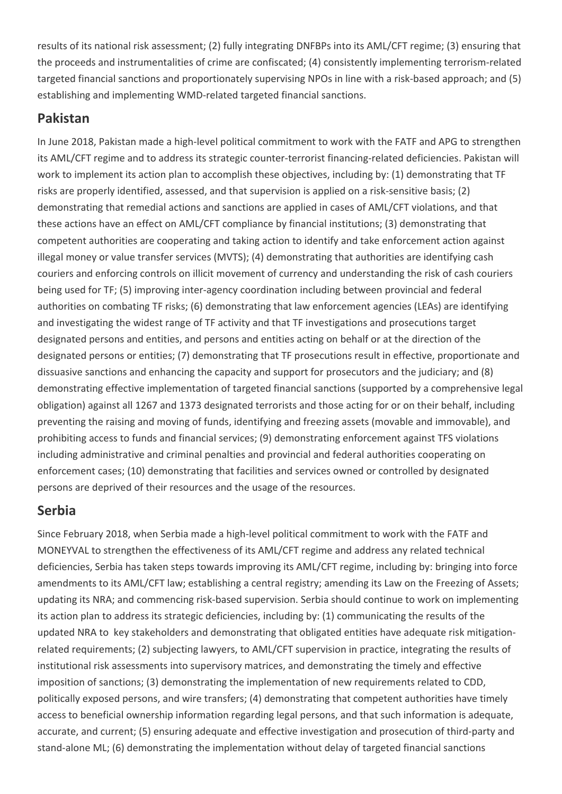results of its national risk assessment; (2) fully integrating DNFBPs into its AML/CFT regime; (3) ensuring that the proceeds and instrumentalities of crime are confiscated; (4) consistently implementing terrorism-related targeted financial sanctions and proportionately supervising NPOs in line with a risk-based approach; and (5) establishing and implementing WMD-related targeted financial sanctions.

#### **Pakistan**

In June 2018, Pakistan made a high-level political commitment to work with the FATF and APG to strengthen its AML/CFT regime and to address its strategic counter-terrorist financing-related deficiencies. Pakistan will work to implement its action plan to accomplish these objectives, including by: (1) demonstrating that TF risks are properly identified, assessed, and that supervision is applied on a risk-sensitive basis; (2) demonstrating that remedial actions and sanctions are applied in cases of AML/CFT violations, and that these actions have an effect on AML/CFT compliance by financial institutions; (3) demonstrating that competent authorities are cooperating and taking action to identify and take enforcement action against illegal money or value transfer services (MVTS); (4) demonstrating that authorities are identifying cash couriers and enforcing controls on illicit movement of currency and understanding the risk of cash couriers being used for TF; (5) improving inter-agency coordination including between provincial and federal authorities on combating TF risks; (6) demonstrating that law enforcement agencies (LEAs) are identifying and investigating the widest range of TF activity and that TF investigations and prosecutions target designated persons and entities, and persons and entities acting on behalf or at the direction of the designated persons or entities; (7) demonstrating that TF prosecutions result in effective, proportionate and dissuasive sanctions and enhancing the capacity and support for prosecutors and the judiciary; and (8) demonstrating effective implementation of targeted financial sanctions (supported by a comprehensive legal obligation) against all 1267 and 1373 designated terrorists and those acting for or on their behalf, including preventing the raising and moving of funds, identifying and freezing assets (movable and immovable), and prohibiting access to funds and financial services; (9) demonstrating enforcement against TFS violations including administrative and criminal penalties and provincial and federal authorities cooperating on enforcement cases; (10) demonstrating that facilities and services owned or controlled by designated persons are deprived of their resources and the usage of the resources.

## **Serbia**

Since February 2018, when Serbia made a high-level political commitment to work with the FATF and MONEYVAL to strengthen the effectiveness of its AML/CFT regime and address any related technical deficiencies, Serbia has taken steps towards improving its AML/CFT regime, including by: bringing into force amendments to its AML/CFT law; establishing a central registry; amending its Law on the Freezing of Assets; updating its NRA; and commencing risk-based supervision. Serbia should continue to work on implementing its action plan to address its strategic deficiencies, including by: (1) communicating the results of the updated NRA to key stakeholders and demonstrating that obligated entities have adequate risk mitigationrelated requirements; (2) subjecting lawyers, to AML/CFT supervision in practice, integrating the results of institutional risk assessments into supervisory matrices, and demonstrating the timely and effective imposition of sanctions; (3) demonstrating the implementation of new requirements related to CDD, politically exposed persons, and wire transfers; (4) demonstrating that competent authorities have timely access to beneficial ownership information regarding legal persons, and that such information is adequate, accurate, and current; (5) ensuring adequate and effective investigation and prosecution of third-party and stand-alone ML; (6) demonstrating the implementation without delay of targeted financial sanctions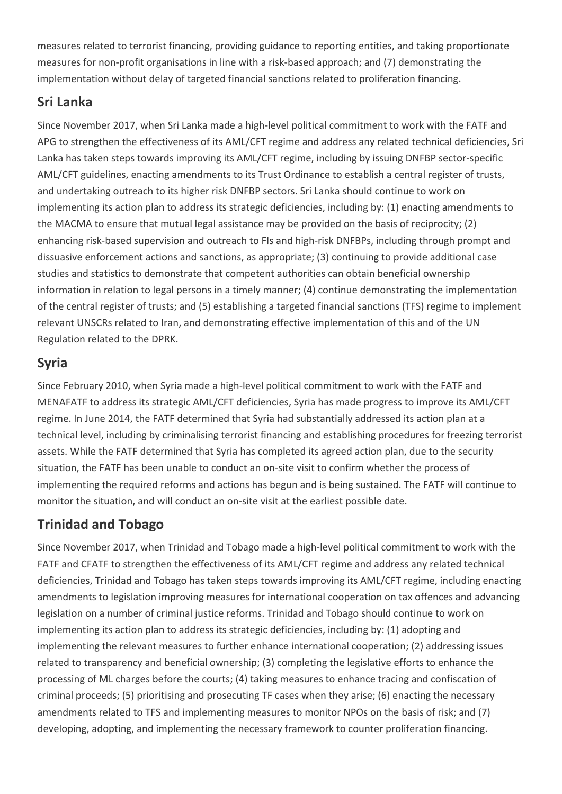measures related to terrorist financing, providing guidance to reporting entities, and taking proportionate measures for non-profit organisations in line with a risk-based approach; and (7) demonstrating the implementation without delay of targeted financial sanctions related to proliferation financing.

#### **Sri Lanka**

Since November 2017, when Sri Lanka made a high-level political commitment to work with the FATF and APG to strengthen the effectiveness of its AML/CFT regime and address any related technical deficiencies, Sri Lanka has taken steps towards improving its AML/CFT regime, including by issuing DNFBP sector-specific AML/CFT guidelines, enacting amendments to its Trust Ordinance to establish a central register of trusts, and undertaking outreach to its higher risk DNFBP sectors. Sri Lanka should continue to work on implementing its action plan to address its strategic deficiencies, including by: (1) enacting amendments to the MACMA to ensure that mutual legal assistance may be provided on the basis of reciprocity; (2) enhancing risk-based supervision and outreach to FIs and high-risk DNFBPs, including through prompt and dissuasive enforcement actions and sanctions, as appropriate; (3) continuing to provide additional case studies and statistics to demonstrate that competent authorities can obtain beneficial ownership information in relation to legal persons in a timely manner; (4) continue demonstrating the implementation of the central register of trusts; and (5) establishing a targeted financial sanctions (TFS) regime to implement relevant UNSCRs related to Iran, and demonstrating effective implementation of this and of the UN Regulation related to the DPRK.

# **Syria**

Since February 2010, when Syria made a high-level political commitment to work with the FATF and MENAFATF to address its strategic AML/CFT deficiencies, Syria has made progress to improve its AML/CFT regime. In June 2014, the FATF determined that Syria had substantially addressed its action plan at a technical level, including by criminalising terrorist financing and establishing procedures for freezing terrorist assets. While the FATF determined that Syria has completed its agreed action plan, due to the security situation, the FATF has been unable to conduct an on-site visit to confirm whether the process of implementing the required reforms and actions has begun and is being sustained. The FATF will continue to monitor the situation, and will conduct an on-site visit at the earliest possible date.

## **Trinidad and Tobago**

Since November 2017, when Trinidad and Tobago made a high-level political commitment to work with the FATF and CFATF to strengthen the effectiveness of its AML/CFT regime and address any related technical deficiencies, Trinidad and Tobago has taken steps towards improving its AML/CFT regime, including enacting amendments to legislation improving measures for international cooperation on tax offences and advancing legislation on a number of criminal justice reforms. Trinidad and Tobago should continue to work on implementing its action plan to address its strategic deficiencies, including by: (1) adopting and implementing the relevant measures to further enhance international cooperation; (2) addressing issues related to transparency and beneficial ownership; (3) completing the legislative efforts to enhance the processing of ML charges before the courts; (4) taking measures to enhance tracing and confiscation of criminal proceeds; (5) prioritising and prosecuting TF cases when they arise; (6) enacting the necessary amendments related to TFS and implementing measures to monitor NPOs on the basis of risk; and (7) developing, adopting, and implementing the necessary framework to counter proliferation financing.